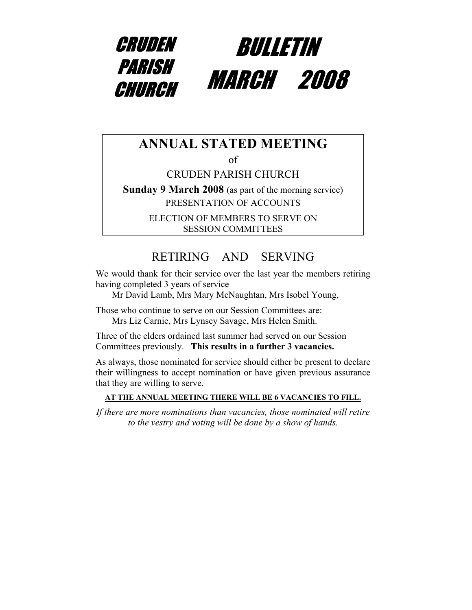

### **ANNUAL STATED MEETING**

of

CRUDEN PARISH CHURCH

**Sunday 9 March 2008** (as part of the morning service) PRESENTATION OF ACCOUNTS

> ELECTION OF MEMBERS TO SERVE ON SESSION COMMITTEES

### RETIRING AND SERVING

We would thank for their service over the last year the members retiring having completed 3 years of service

Mr David Lamb, Mrs Mary McNaughtan, Mrs Isobel Young,

Those who continue to serve on our Session Committees are:

Mrs Liz Carnie, Mrs Lynsey Savage, Mrs Helen Smith.

Three of the elders ordained last summer had served on our Session Committees previously. **This results in a further 3 vacancies.**

As always, those nominated for service should either be present to declare their willingness to accept nomination or have given previous assurance that they are willing to serve.

#### **AT THE ANNUAL MEETING THERE WILL BE 6 VACANCIES TO FILL.**

*If there are more nominations than vacancies, those nominated will retire to the vestry and voting will be done by a show of hands.*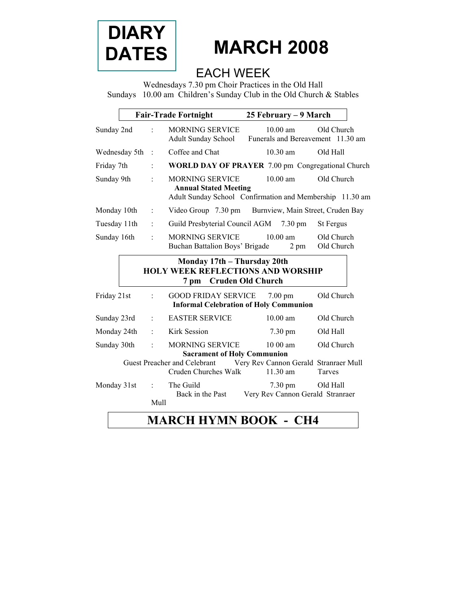

# **MARCH 2008**

### EACH WEEK

Wednesdays 7.30 pm Choir Practices in the Old Hall Sundays 10.00 am Children's Sunday Club in the Old Church & Stables

|                                                                                                                                                           |                | <b>Fair-Trade Fortnight</b>                                                                                        | 25 February - 9 March                                              |                          |
|-----------------------------------------------------------------------------------------------------------------------------------------------------------|----------------|--------------------------------------------------------------------------------------------------------------------|--------------------------------------------------------------------|--------------------------|
| Sunday 2nd                                                                                                                                                |                | <b>MORNING SERVICE</b><br><b>Adult Sunday School</b>                                                               | $10.00$ am<br>Funerals and Bereavement 11.30 am                    | Old Church               |
| Wednesday 5th                                                                                                                                             | $\cdot$        | Coffee and Chat                                                                                                    | $10,30 \text{ am}$                                                 | Old Hall                 |
| Friday 7th                                                                                                                                                |                | <b>WORLD DAY OF PRAYER 7.00 pm Congregational Church</b>                                                           |                                                                    |                          |
| Sunday 9th                                                                                                                                                |                | <b>MORNING SERVICE</b><br><b>Annual Stated Meeting</b><br>Adult Sunday School Confirmation and Membership 11.30 am | $10.00$ am                                                         | Old Church               |
| Monday 10th                                                                                                                                               | $\vdots$       | Video Group 7.30 pm Burnview, Main Street, Cruden Bay                                                              |                                                                    |                          |
| Tuesday 11th                                                                                                                                              | ÷              | Guild Presbyterial Council AGM 7.30 pm                                                                             |                                                                    | St Fergus                |
| Sunday 16th                                                                                                                                               |                | <b>MORNING SERVICE</b><br>Buchan Battalion Boys' Brigade                                                           | $10.00$ am<br>2 pm                                                 | Old Church<br>Old Church |
| Monday 17th - Thursday 20th<br><b>HOLY WEEK REFLECTIONS AND WORSHIP</b><br><b>Cruden Old Church</b><br>7 pm                                               |                |                                                                                                                    |                                                                    |                          |
| Friday 21st                                                                                                                                               |                | <b>GOOD FRIDAY SERVICE</b>                                                                                         | $7.00 \text{ pm}$<br><b>Informal Celebration of Holy Communion</b> | Old Church               |
| Sunday 23rd                                                                                                                                               |                | <b>EASTER SERVICE</b>                                                                                              | $10.00$ am                                                         | Old Church               |
| Monday 24th                                                                                                                                               | $\ddot{\cdot}$ | <b>Kirk Session</b>                                                                                                | 7.30 pm                                                            | Old Hall                 |
| Sunday 30th                                                                                                                                               |                | <b>MORNING SERVICE</b>                                                                                             | $1000$ am                                                          | Old Church               |
| <b>Sacrament of Holy Communion</b><br>Very Rev Cannon Gerald Stranraer Mull<br>Guest Preacher and Celebrant<br>Cruden Churches Walk<br>11.30 am<br>Tarves |                |                                                                                                                    |                                                                    |                          |
| Monday 31st                                                                                                                                               | Mull           | The Guild<br>Back in the Past                                                                                      | $7.30 \text{ pm}$<br>Very Rev Cannon Gerald Stranraer              | Old Hall                 |
|                                                                                                                                                           |                | <b>MARCH HYMN BOOK - CH4</b>                                                                                       |                                                                    |                          |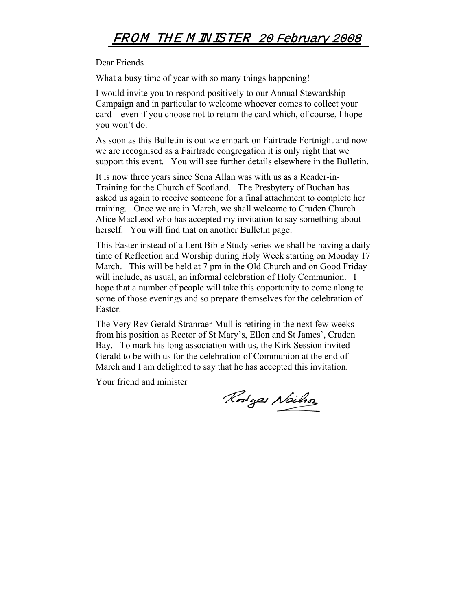### FROM THE M INISTER 20 February 2008

Dear Friends

What a busy time of year with so many things happening!

I would invite you to respond positively to our Annual Stewardship Campaign and in particular to welcome whoever comes to collect your card – even if you choose not to return the card which, of course, I hope you won't do.

As soon as this Bulletin is out we embark on Fairtrade Fortnight and now we are recognised as a Fairtrade congregation it is only right that we support this event. You will see further details elsewhere in the Bulletin.

It is now three years since Sena Allan was with us as a Reader-in-Training for the Church of Scotland. The Presbytery of Buchan has asked us again to receive someone for a final attachment to complete her training. Once we are in March, we shall welcome to Cruden Church Alice MacLeod who has accepted my invitation to say something about herself. You will find that on another Bulletin page.

This Easter instead of a Lent Bible Study series we shall be having a daily time of Reflection and Worship during Holy Week starting on Monday 17 March. This will be held at 7 pm in the Old Church and on Good Friday will include, as usual, an informal celebration of Holy Communion. I hope that a number of people will take this opportunity to come along to some of those evenings and so prepare themselves for the celebration of Easter.

The Very Rev Gerald Stranraer-Mull is retiring in the next few weeks from his position as Rector of St Mary's, Ellon and St James', Cruden Bay. To mark his long association with us, the Kirk Session invited Gerald to be with us for the celebration of Communion at the end of March and I am delighted to say that he has accepted this invitation.

Your friend and minister

Rodges Neilson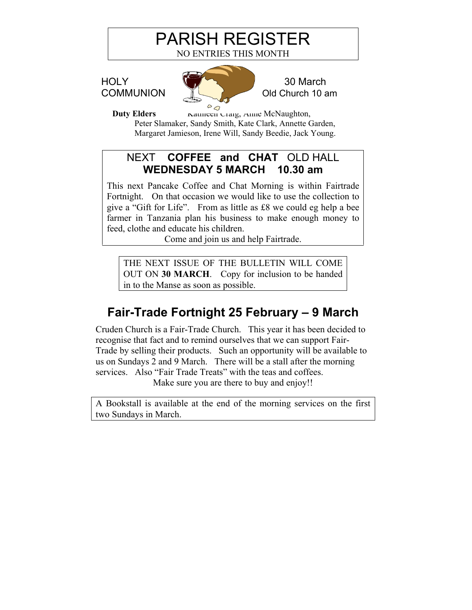# PARISH REGISTER

NO ENTRIES THIS MONTH



**Duty Elders Kathleen Craig**, Anne McNaughton, Peter Slamaker, Sandy Smith, Kate Clark, Annette Garden, Margaret Jamieson, Irene Will, Sandy Beedie, Jack Young.

### NEXT **COFFEE and CHAT** OLD HALL **WEDNESDAY 5 MARCH 10.30 am**

This next Pancake Coffee and Chat Morning is within Fairtrade Fortnight. On that occasion we would like to use the collection to give a "Gift for Life". From as little as £8 we could eg help a bee farmer in Tanzania plan his business to make enough money to feed, clothe and educate his children.

Come and join us and help Fairtrade.

THE NEXT ISSUE OF THE BULLETIN WILL COME OUT ON **30 MARCH**. Copy for inclusion to be handed in to the Manse as soon as possible.

### **Fair-Trade Fortnight 25 February – 9 March**

Cruden Church is a Fair-Trade Church. This year it has been decided to recognise that fact and to remind ourselves that we can support Fair-Trade by selling their products. Such an opportunity will be available to us on Sundays 2 and 9 March. There will be a stall after the morning services. Also "Fair Trade Treats" with the teas and coffees.

Make sure you are there to buy and enjoy!!

A Bookstall is available at the end of the morning services on the first two Sundays in March.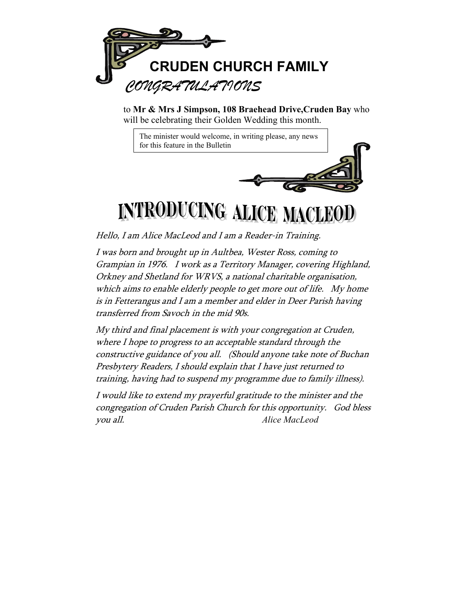

to **Mr & Mrs J Simpson, 108 Braehead Drive,Cruden Bay** who will be celebrating their Golden Wedding this month.

The minister would welcome, in writing please, any news for this feature in the Bulletin

# **INTRODUCING ALICE MACLEOD**

Hello, I am Alice MacLeod and I am a Reader-in Training.

I was born and brought up in Aultbea, Wester Ross, coming to Grampian in 1976. I work as a Territory Manager, covering Highland, Orkney and Shetland for WRVS, a national charitable organisation, which aims to enable elderly people to get more out of life. My home is in Fetterangus and I am a member and elder in Deer Parish having transferred from Savoch in the mid 90s.

My third and final placement is with your congregation at Cruden, where I hope to progress to an acceptable standard through the constructive guidance of you all. (Should anyone take note of Buchan Presbytery Readers, I should explain that I have just returned to training, having had to suspend my programme due to family illness).

I would like to extend my prayerful gratitude to the minister and the congregation of Cruden Parish Church for this opportunity. God bless you all. *Alice MacLeod*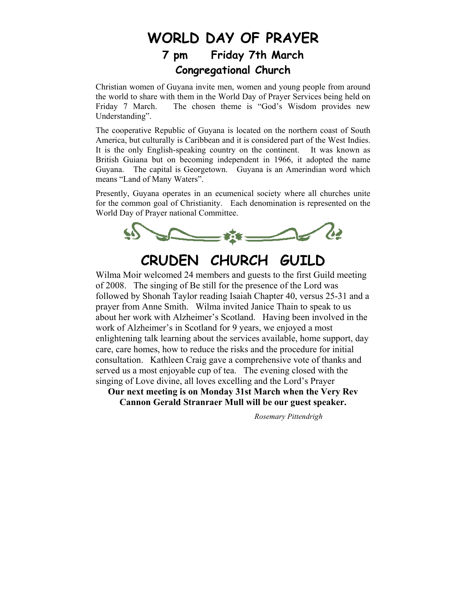### **WORLD DAY OF PRAYER 7 pm Friday 7th March Congregational Church**

Christian women of Guyana invite men, women and young people from around the world to share with them in the World Day of Prayer Services being held on Friday 7 March. The chosen theme is "God's Wisdom provides new Understanding".

The cooperative Republic of Guyana is located on the northern coast of South America, but culturally is Caribbean and it is considered part of the West Indies. It is the only English-speaking country on the continent. It was known as British Guiana but on becoming independent in 1966, it adopted the name Guyana. The capital is Georgetown. Guyana is an Amerindian word which means "Land of Many Waters".

Presently, Guyana operates in an ecumenical society where all churches unite for the common goal of Christianity. Each denomination is represented on the World Day of Prayer national Committee.



## **CRUDEN CHURCH GUILD**

Wilma Moir welcomed 24 members and guests to the first Guild meeting of 2008. The singing of Be still for the presence of the Lord was followed by Shonah Taylor reading Isaiah Chapter 40, versus 25-31 and a prayer from Anne Smith. Wilma invited Janice Thain to speak to us about her work with Alzheimer's Scotland. Having been involved in the work of Alzheimer's in Scotland for 9 years, we enjoyed a most enlightening talk learning about the services available, home support, day care, care homes, how to reduce the risks and the procedure for initial consultation. Kathleen Craig gave a comprehensive vote of thanks and served us a most enjoyable cup of tea. The evening closed with the singing of Love divine, all loves excelling and the Lord's Prayer

**Our next meeting is on Monday 31st March when the Very Rev Cannon Gerald Stranraer Mull will be our guest speaker.** 

 *Rosemary Pittendrigh*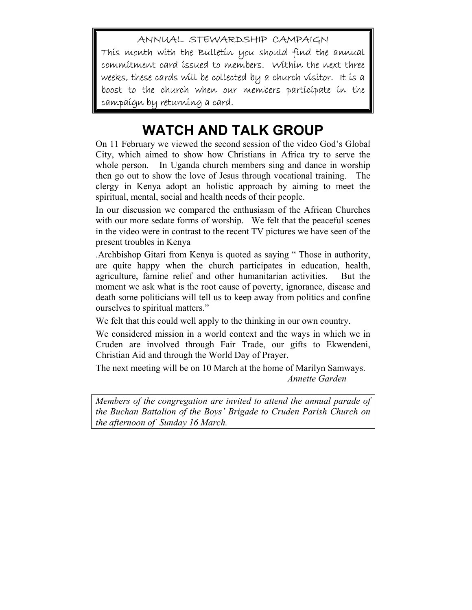ANNUAL STEWARDSHIP CAMPAIGN This month with the Bulletin you should find the annual commitment card issued to members. Within the next three weeks, these cards will be collected by a church visitor. It is a boost to the church when our members participate in the campaign by returning a card.

### **WATCH AND TALK GROUP**

On 11 February we viewed the second session of the video God's Global City, which aimed to show how Christians in Africa try to serve the whole person. In Uganda church members sing and dance in worship then go out to show the love of Jesus through vocational training. The clergy in Kenya adopt an holistic approach by aiming to meet the spiritual, mental, social and health needs of their people.

In our discussion we compared the enthusiasm of the African Churches with our more sedate forms of worship. We felt that the peaceful scenes in the video were in contrast to the recent TV pictures we have seen of the present troubles in Kenya

.Archbishop Gitari from Kenya is quoted as saying " Those in authority, are quite happy when the church participates in education, health, agriculture, famine relief and other humanitarian activities. But the moment we ask what is the root cause of poverty, ignorance, disease and death some politicians will tell us to keep away from politics and confine ourselves to spiritual matters."

We felt that this could well apply to the thinking in our own country.

We considered mission in a world context and the ways in which we in Cruden are involved through Fair Trade, our gifts to Ekwendeni, Christian Aid and through the World Day of Prayer.

The next meeting will be on 10 March at the home of Marilyn Samways.  *Annette Garden* 

*Members of the congregation are invited to attend the annual parade of the Buchan Battalion of the Boys' Brigade to Cruden Parish Church on the afternoon of Sunday 16 March.*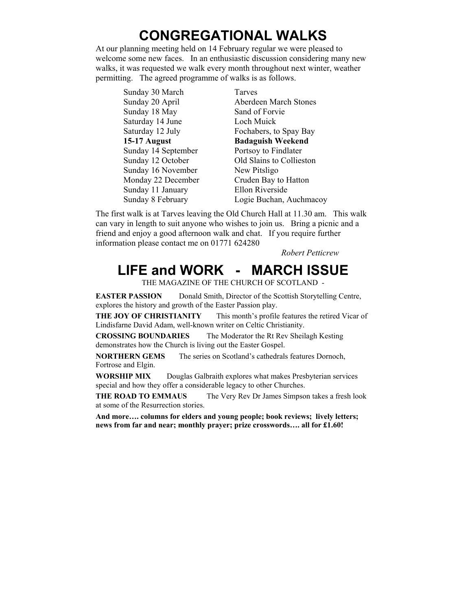### **CONGREGATIONAL WALKS**

At our planning meeting held on 14 February regular we were pleased to welcome some new faces. In an enthusiastic discussion considering many new walks, it was requested we walk every month throughout next winter, weather permitting. The agreed programme of walks is as follows.

Sunday 30 March Tarves Sunday 18 May Sand of Forvie Saturday 14 June Loch Muick Sunday 14 September Portsoy to Findlater Sunday 16 November New Pitsligo Sunday 11 January Ellon Riverside

Sunday 20 April Aberdeen March Stones Saturday 12 July Fochabers, to Spay Bay **15-17 August Badaguish Weekend**  Sunday 12 October Old Slains to Collieston Monday 22 December Cruden Bay to Hatton Sunday 8 February Logie Buchan, Auchmacoy

The first walk is at Tarves leaving the Old Church Hall at 11.30 am. This walk can vary in length to suit anyone who wishes to join us. Bring a picnic and a friend and enjoy a good afternoon walk and chat. If you require further information please contact me on 01771 624280

 *Robert Petticrew* 

### **LIFE and WORK - MARCH ISSUE**

THE MAGAZINE OF THE CHURCH OF SCOTLAND -

**EASTER PASSION** Donald Smith, Director of the Scottish Storytelling Centre, explores the history and growth of the Easter Passion play.

**THE JOY OF CHRISTIANITY** This month's profile features the retired Vicar of Lindisfarne David Adam, well-known writer on Celtic Christianity.

**CROSSING BOUNDARIES** The Moderator the Rt Rev Sheilagh Kesting demonstrates how the Church is living out the Easter Gospel.

**NORTHERN GEMS** The series on Scotland's cathedrals features Dornoch, Fortrose and Elgin.

**WORSHIP MIX** Douglas Galbraith explores what makes Presbyterian services special and how they offer a considerable legacy to other Churches.

**THE ROAD TO EMMAUS** The Very Rev Dr James Simpson takes a fresh look at some of the Resurrection stories.

**And more…. columns for elders and young people; book reviews; lively letters; news from far and near; monthly prayer; prize crosswords…. all for £1.60!**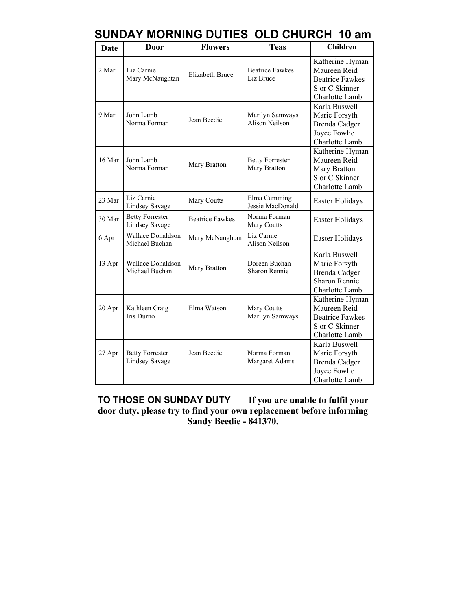| <b>Date</b> | Door                                            | <b>Flowers</b>         | <b>Teas</b>                            | <b>Children</b>                                                                               |
|-------------|-------------------------------------------------|------------------------|----------------------------------------|-----------------------------------------------------------------------------------------------|
| 2 Mar       | Liz Carnie<br>Mary McNaughtan                   | <b>Elizabeth Bruce</b> | <b>Beatrice Fawkes</b><br>Liz Bruce    | Katherine Hyman<br>Maureen Reid<br><b>Beatrice Fawkes</b><br>S or C Skinner<br>Charlotte Lamb |
| 9 Mar       | John Lamb<br>Norma Forman                       | Jean Beedie            | Marilyn Samways<br>Alison Neilson      | Karla Buswell<br>Marie Forsyth<br>Brenda Cadger<br>Joyce Fowlie<br>Charlotte Lamb             |
| 16 Mar      | John Lamb<br>Norma Forman                       | Mary Bratton           | <b>Betty Forrester</b><br>Mary Bratton | Katherine Hyman<br>Maureen Reid<br>Mary Bratton<br>S or C Skinner<br>Charlotte Lamb           |
| 23 Mar      | Liz Carnie<br><b>Lindsey Savage</b>             | Mary Coutts            | Elma Cumming<br>Jessie MacDonald       | Easter Holidays                                                                               |
| 30 Mar      | <b>Betty Forrester</b><br><b>Lindsey Savage</b> | <b>Beatrice Fawkes</b> | Norma Forman<br>Mary Coutts            | Easter Holidays                                                                               |
| 6 Apr       | <b>Wallace Donaldson</b><br>Michael Buchan      | Mary McNaughtan        | Liz Carnie<br>Alison Neilson           | Easter Holidays                                                                               |
| 13 Apr      | <b>Wallace Donaldson</b><br>Michael Buchan      | Mary Bratton           | Doreen Buchan<br><b>Sharon Rennie</b>  | Karla Buswell<br>Marie Forsyth<br>Brenda Cadger<br><b>Sharon Rennie</b><br>Charlotte Lamb     |
| 20 Apr      | Kathleen Craig<br>Iris Durno                    | Elma Watson            | Mary Coutts<br>Marilyn Samways         | Katherine Hyman<br>Maureen Reid<br><b>Beatrice Fawkes</b><br>S or C Skinner<br>Charlotte Lamb |
| 27 Apr      | <b>Betty Forrester</b><br><b>Lindsey Savage</b> | Jean Beedie            | Norma Forman<br>Margaret Adams         | Karla Buswell<br>Marie Forsyth<br>Brenda Cadger<br>Joyce Fowlie<br>Charlotte Lamb             |

**TO THOSE ON SUNDAY DUTY If you are unable to fulfil your door duty, please try to find your own replacement before informing Sandy Beedie - 841370.**